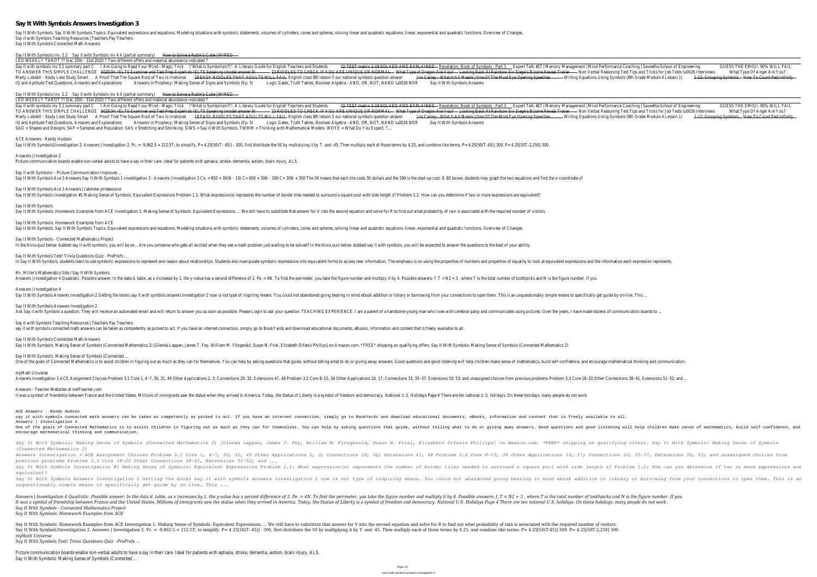## **Say It With Symbols Answers Investigation 3**

Say It With Symbols. Say It With Symbols Topics. Equivalent expressions and equations. Modeling situations with symbolic statements, volumes of cylinders, cones and spheres, solving linear and quadratic equations. linear, Say it with Symbols Teaching Resources | Teachers Pay Teachers Say It With Symbols Connected Math Answers

Say It With Symbols In Say 2.12 with Symbols inv 4.4 (partia Home and summary) How to Sumber's Cube | WIRED

LEO WEEKLY TAROT ?? Dec 20th - 31st 2020 ? Two different offers and material abundance indicated ? Say it with symbols inv 3.1 summary partngCto Read Your Mind - Ma'yMthatick Symbolism?\": A Literary Guide for English TeachersEster Salk #27 | Memory Management | Mind Performance Coaching | Saveet Balk Symbolisment | Min TO ANSWER THIS SIMPLE CHALLENCILO4: IELTS Examiner and Test Prep Expert do IELTS Speaking Allow Six Siege's Bizarre Revenue Rest Tips and Tricks for Job Tests WOOD & WOOD & Dragel Are You? Marty Lobdell - Study Less Study Somarthat The Square Root of Two-<del>18 EASMORDDLES THAT ADULTS WIL</del>E Figlish class 8th lesson 5 our national symbols curres Using Symbols (8th Grade Mod<del>uld 24 Geosping)Symbols To Count Past</del> IQ and Aptitude Test Questions, Answers and Absplanation Brophecy: Making Sense of Signs and Symotic Is and Touth Tables, Boolean Algebra - AND, OR, NOT, NANSDy\LtOW266 NOR bols Answers

Say It With Symbols In ay 2.12 with Symbols inv 4.4 (partia How to a Rubik's Cube | WIRED

LEO WEEKLY TAROT ?? Dec 20th - 31st 2020 ? Two different offers and material abundance indicated ? Say it with symbols inv 3.1 summary partngCto Read Your Mind - Ma'yMthatick Symbolism?\": A Literary Guide for English TeachersEster Salk #27 | Memory Management | Mind Performance Coaching | Saveet Balk Symbolisment | Min TO ANSWER THIS SIMPLE CHALLENCILO4: IELTS Examiner and Test Prep Expert do IELTS Speaking Casaring Casaking Casaking Casaking Casaring Menewal Alberta interview Six Siege's Bizarre Reven Are UNIQUE OR NORMALA by Back At Ra Marty Lobdell - Study Less Studd Promarthat The Square Root of Two 18 EASMOREDDLES THAT ADULTS WILLE FIRILE AND Super Content One of The Most Eye Oper time Speed from Symbols (8th Grade Module 24 Geospine) Symbols For Coun IQ and Aptitude Test Questions, Answers and Absplanation Prophecy: Making Sense of Signs and Symotic Is a Tuth Tables, Boolean Algebra - AND, OR, NOT, NANSDY LOOD 26 NOR bols Answers SAD = Shapes and Designs. SAP = Samples and Population. SAS = Stretching and Shrinking. SIWS = Say it With Symbols. TWMM = Thinking with Mathematical Models. WDYE = What Do You Expect. ?....

Say It With Symbols1Investigation 2. Answers | Investigation 2. Pc. = -9,862.5 + 212.5T; to simplify. P= 4.25[50(T-45)] - 300, first distribute the 50 by multiplying it by T. and -45. Then multiplying it by T. and -45. The Answers | Investigation 2

Say It With Symbols Ace 3 Answers | calendar.pridesource Say It With Symbols Investigation #1 Making Sense of Symbols: Equivalent Expressions Problem 1.1: What expression(s) represents the number of border tiles needed to surround a square pool with side length s? Problem 1.2: H Say It With Symbols Say It With Symbols: Homework Examples from ACE Investigation 1: Making Sense of Symbols: Equivalent Expressions, ... We still have to substitute that answer for V into the second equation and solve for R to find out what Say It With Symbols: Homework Examples from ACE Say It With Symbols. Say It With Symbols Topics. Equivalent expressions and equations. Modeling situations with symbolic statements, volumes of cylinders, cones and spheres, solving linear and quadratic equations. linear, Say It With Symbols - Connected Mathematics Project In the trivia quiz below dubbed say it with symbols, you will be ex... Are you someone who gets all excited when they see a math problem just waiting to be solved? In the trivia quiz below dubbed say it with symbols, you w Say It With Symbols Test! Trivia Questions Quiz - ProProfs ... In Say It With Symbols, students learn to use symbolic expressions to represent and reason about relationships. Students also manipulate symbolic expressions into equivalent forms to access new information. The emphasis is Mr. Miller's Mathematics Site / Say It With Symbols Answers | Investigation 4 Quadratic. Possible answer: In the data d. table, as x increases by 1, the y-value has a second difference of 2. Pe. = 4N. To find the perimeter, you take the figure number and multiply it by 4. P Answers | Investigation 4 Say It With Symbols Answers Investigation 2 Getting the books say it with symbols answers investigation 2 now is not type of inspiring means. You could not abandoned going bearing in mind ebook addition or library or borro Ask Say it with Symbols a question. They will receive an automated email and will return to answer you as soon as possible. Please Login to ask your question. TEACHING EXPERIENCE. I am a parent of a handsome young man who Say it with Symbols Teaching Resources | Teachers Pay Teachers say it with symbols connected math answers can be taken as competently as picked to act. If you have an internet connection, simply go to BookYards and download educational documents, eBooks, information and content that i Say It With Symbols Connected Math Answers Say It With Symbols: Making Sense of Symbols (Connected Mathematics 2) [Glenda Lappan, James T. Fey, William M. Fitzgerald, Susan N. Friel, Elizabeth Difanis Phillips] on Amazon.com. \*FREE\* shipping on qualifying offers. S Say It With Symbols: Making Sense of Symbols (Connected ... One of the goals of Connected Mathematics is to assist children in figuring out as much as they can for themselves. You can help by asking questions and good listening will help children make sense of mathematics, build se myMath Universe Answers Investigation 3 ACE Assignment Choices Problem 3.1 Core 1, 4–7, 30, 31, 49 Other Applications 2, 3; Connections 2, 3; Connections 33, 35–37, Extensions 50, 53; and unassigned choices from previous problems Problems Answers - Teacher Websites at inetTeacher.com It was a symbol of friendship between France and the United States. Millions of immigrants saw the statue when they arrived in America. Today, the Statue of Liberty is a symbol of freedom and democracy. National U.S. Holid

ACE Answers - Randy Hudson

Picture communication boards enable non-verbal adults to have a say in their care. Ideal for patients with aphasia, stroke, dementia, autism, brain injury, ALS.

Say it with Symbols! - Picture Communication Improves. Say It With Symbols Ace 3 Answers Say It With Symbols 1 Investigation 3. Answers | Investigation 3 Ce. = 650 + 300 + 300 + 300 + 300 C= 30N + 350 The 30 means that each tile costs 30 dollars and the 290 is the start-up cos

Answers | Investigation 4 Quadratic. Possible answer: In the data d. table, as x increases by 1, the y-value has a second difference of 2. Pe. = 4N. To find the perimeter, you take the figure number and multiply it by 4. P It was a symbol of friendship between France and the United States. Millions of immigrants saw the statue when they arrived in America. Today, the Statue of Liberty is a symbol of freedom and democracy. National U.S. Holid *Say It With Symbols - Connected Mathematics Project Say It With Symbols: Homework Examples from ACE*

Say It With Symbols: Homework Examples from ACE Investigation 1: Making Sense of Symbols: Equivalent Expressions, ... We still have to substitute that answer for V into the second equation and solve for R to find out what Say It With Symbols1Investigation 2. Answers | Investigation 2. Pc. = -9,862.5 + 212.5T; to simplify. P= 4.25[50(T-45)] - 300, first distribute the 50 by multiplying it by T. and -45. Then multiply each of those terms by 4 *myMath Universe*

Say It With Symbols Answers Investigation 2

*(Connected Mathematics 2)*

ACE Answers - Randy Hudson say it with symbols connected math answers can be taken as competently as picked to act. If you have an internet connection, simply go to BookYards and download educational documents, eBooks, information and content that i Answers | Investigation 4 One of the goals of Connected Mathematics is to assist children in figuring out as much as they can for themselves. You can help by asking questions and good listening will help children make sense of mathematics, build se encourage mathematical thinking and communication. Say It With Symbols: Making Sense of Symbols (Connected Mathematics 2) [Glenda Lappan, James T. Fey, William M. Fitzgerald, Susan N. Friel, Elizabeth Difanis Phillips] on Amazon.com. \*FREE\* shipping on qualifying offers. S Answers Investigation 3 ACE Assignment Choices Problem 3.1 Core 1, 4-7, 30, 31, 49 Other Applications 2, 3; Connections 29, 32; Extensions 16, 17; Connections 33, 35-37, Extensions 50, 53; and unassigned choices from *previous problems Problem 3.3 Core 18–20 Other Connections 38–41, Extensions 51–52; and ...* Say It With Symbols Investigation #1 Making Sense of Symbols: Equivalent Expressions Problem 1.1: What expression (s) represents the number of border tiles needed to surround a square pool with side length s? Problem 1.2: *equivalent?* Say It With Symbols Answers Investigation 2 Getting the books say it with symbols answers investigation 2 now is not type of inspiring means. You could not abandoned going bearing in mind ebook addition or library or borro *unquestionably simple means to specifically get guide by on-line. This ...*

*Say It With Symbols Test! Trivia Questions Quiz - ProProfs ...*

Picture communication boards enable non-verbal adults to have a say in their care. Ideal for patients with aphasia, stroke, dementia, autism, brain injury, ALS. Say It With Symbols: Making Sense of Symbols (Connected ...